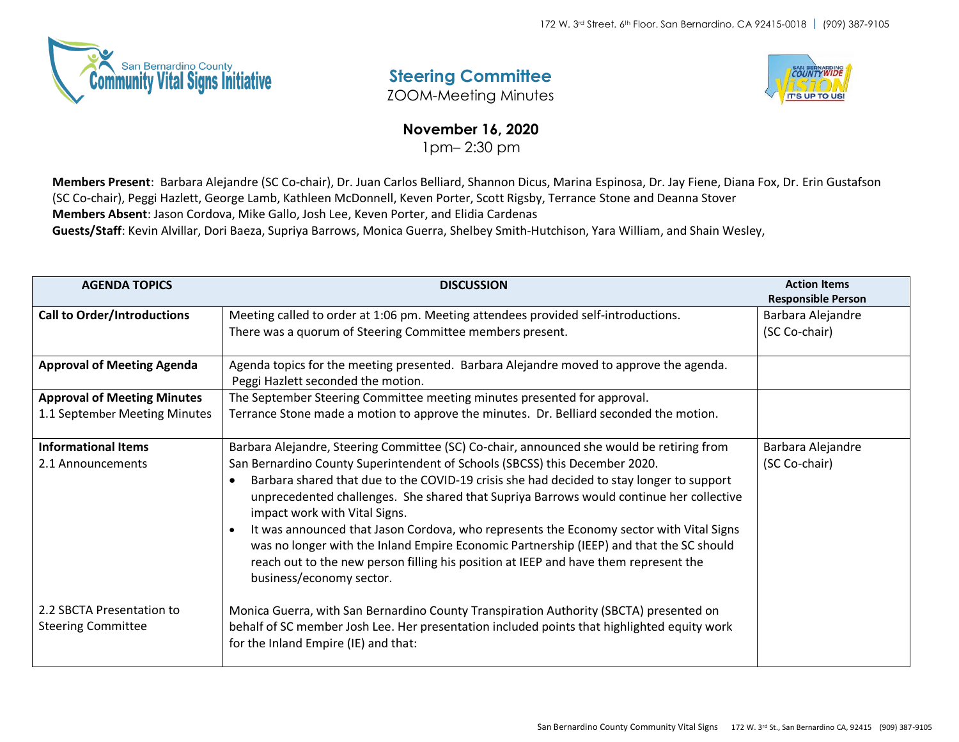

## **Steering Committee**

ZOOM-Meeting Minutes



## **November 16, 2020**

1pm– 2:30 pm

**Members Present**: Barbara Alejandre (SC Co-chair), Dr. Juan Carlos Belliard, Shannon Dicus, Marina Espinosa, Dr. Jay Fiene, Diana Fox, Dr. Erin Gustafson (SC Co-chair), Peggi Hazlett, George Lamb, Kathleen McDonnell, Keven Porter, Scott Rigsby, Terrance Stone and Deanna Stover **Members Absent**: Jason Cordova, Mike Gallo, Josh Lee, Keven Porter, and Elidia Cardenas

**Guests/Staff**: Kevin Alvillar, Dori Baeza, Supriya Barrows, Monica Guerra, Shelbey Smith-Hutchison, Yara William, and Shain Wesley,

| <b>AGENDA TOPICS</b>               | <b>DISCUSSION</b>                                                                                                                                                                     | <b>Action Items</b><br><b>Responsible Person</b> |
|------------------------------------|---------------------------------------------------------------------------------------------------------------------------------------------------------------------------------------|--------------------------------------------------|
| <b>Call to Order/Introductions</b> | Meeting called to order at 1:06 pm. Meeting attendees provided self-introductions.                                                                                                    | Barbara Alejandre                                |
|                                    | There was a quorum of Steering Committee members present.                                                                                                                             | (SC Co-chair)                                    |
| <b>Approval of Meeting Agenda</b>  | Agenda topics for the meeting presented. Barbara Alejandre moved to approve the agenda.                                                                                               |                                                  |
|                                    | Peggi Hazlett seconded the motion.                                                                                                                                                    |                                                  |
| <b>Approval of Meeting Minutes</b> | The September Steering Committee meeting minutes presented for approval.                                                                                                              |                                                  |
| 1.1 September Meeting Minutes      | Terrance Stone made a motion to approve the minutes. Dr. Belliard seconded the motion.                                                                                                |                                                  |
| <b>Informational Items</b>         | Barbara Alejandre, Steering Committee (SC) Co-chair, announced she would be retiring from                                                                                             | Barbara Alejandre                                |
| 2.1 Announcements                  | San Bernardino County Superintendent of Schools (SBCSS) this December 2020.                                                                                                           | (SC Co-chair)                                    |
|                                    | Barbara shared that due to the COVID-19 crisis she had decided to stay longer to support                                                                                              |                                                  |
|                                    | unprecedented challenges. She shared that Supriya Barrows would continue her collective<br>impact work with Vital Signs.                                                              |                                                  |
|                                    | It was announced that Jason Cordova, who represents the Economy sector with Vital Signs                                                                                               |                                                  |
|                                    | was no longer with the Inland Empire Economic Partnership (IEEP) and that the SC should                                                                                               |                                                  |
|                                    | reach out to the new person filling his position at IEEP and have them represent the<br>business/economy sector.                                                                      |                                                  |
| 2.2 SBCTA Presentation to          |                                                                                                                                                                                       |                                                  |
| <b>Steering Committee</b>          | Monica Guerra, with San Bernardino County Transpiration Authority (SBCTA) presented on<br>behalf of SC member Josh Lee. Her presentation included points that highlighted equity work |                                                  |
|                                    | for the Inland Empire (IE) and that:                                                                                                                                                  |                                                  |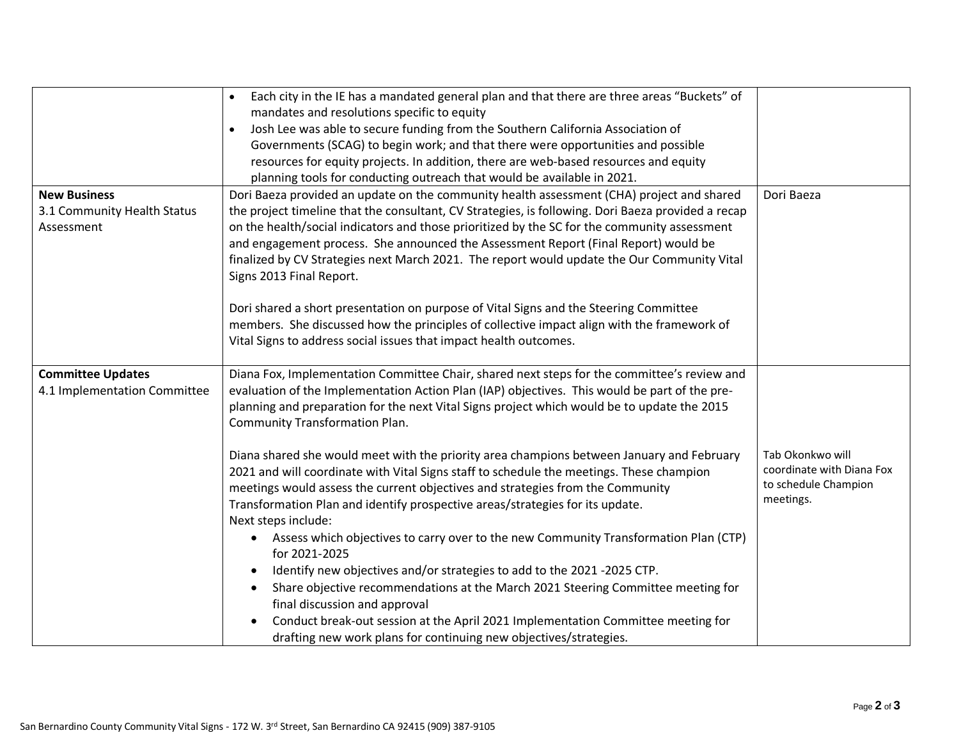|                                                                  | Each city in the IE has a mandated general plan and that there are three areas "Buckets" of<br>mandates and resolutions specific to equity<br>Josh Lee was able to secure funding from the Southern California Association of<br>Governments (SCAG) to begin work; and that there were opportunities and possible<br>resources for equity projects. In addition, there are web-based resources and equity<br>planning tools for conducting outreach that would be available in 2021.                                                                                                                                                                                                                                                                                                                                                                                                                                                                                                                                                                                                                                                                                                      |                                                                                    |
|------------------------------------------------------------------|-------------------------------------------------------------------------------------------------------------------------------------------------------------------------------------------------------------------------------------------------------------------------------------------------------------------------------------------------------------------------------------------------------------------------------------------------------------------------------------------------------------------------------------------------------------------------------------------------------------------------------------------------------------------------------------------------------------------------------------------------------------------------------------------------------------------------------------------------------------------------------------------------------------------------------------------------------------------------------------------------------------------------------------------------------------------------------------------------------------------------------------------------------------------------------------------|------------------------------------------------------------------------------------|
| <b>New Business</b><br>3.1 Community Health Status<br>Assessment | Dori Baeza provided an update on the community health assessment (CHA) project and shared<br>the project timeline that the consultant, CV Strategies, is following. Dori Baeza provided a recap<br>on the health/social indicators and those prioritized by the SC for the community assessment<br>and engagement process. She announced the Assessment Report (Final Report) would be<br>finalized by CV Strategies next March 2021. The report would update the Our Community Vital<br>Signs 2013 Final Report.<br>Dori shared a short presentation on purpose of Vital Signs and the Steering Committee<br>members. She discussed how the principles of collective impact align with the framework of<br>Vital Signs to address social issues that impact health outcomes.                                                                                                                                                                                                                                                                                                                                                                                                             | Dori Baeza                                                                         |
| <b>Committee Updates</b><br>4.1 Implementation Committee         | Diana Fox, Implementation Committee Chair, shared next steps for the committee's review and<br>evaluation of the Implementation Action Plan (IAP) objectives. This would be part of the pre-<br>planning and preparation for the next Vital Signs project which would be to update the 2015<br><b>Community Transformation Plan.</b><br>Diana shared she would meet with the priority area champions between January and February<br>2021 and will coordinate with Vital Signs staff to schedule the meetings. These champion<br>meetings would assess the current objectives and strategies from the Community<br>Transformation Plan and identify prospective areas/strategies for its update.<br>Next steps include:<br>Assess which objectives to carry over to the new Community Transformation Plan (CTP)<br>for 2021-2025<br>Identify new objectives and/or strategies to add to the 2021 -2025 CTP.<br>Share objective recommendations at the March 2021 Steering Committee meeting for<br>final discussion and approval<br>Conduct break-out session at the April 2021 Implementation Committee meeting for<br>drafting new work plans for continuing new objectives/strategies. | Tab Okonkwo will<br>coordinate with Diana Fox<br>to schedule Champion<br>meetings. |